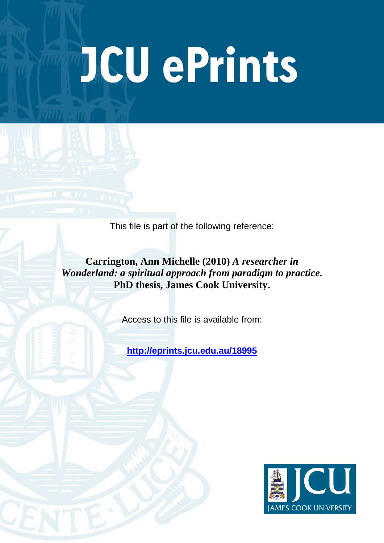# **JCU ePrints**

This file is part of the following reference:

**Carrington, Ann Michelle (2010)** *A researcher in Wonderland: a spiritual approach from paradigm to practice.* **PhD thesis, James Cook University.**

Access to this file is available from:

**<http://eprints.jcu.edu.au/18995>**

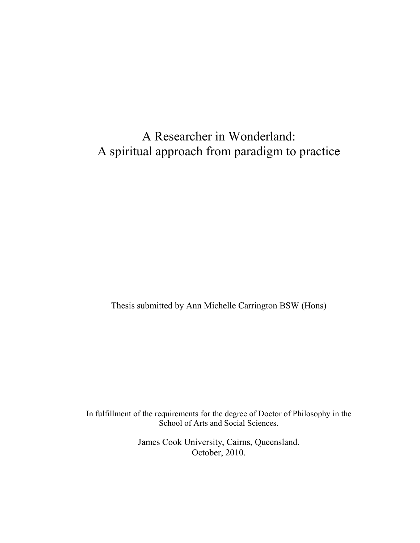# A Researcher in Wonderland: A spiritual approach from paradigm to practice

Thesis submitted by Ann Michelle Carrington BSW (Hons)

In fulfillment of the requirements for the degree of Doctor of Philosophy in the School of Arts and Social Sciences.

> James Cook University, Cairns, Queensland. October, 2010.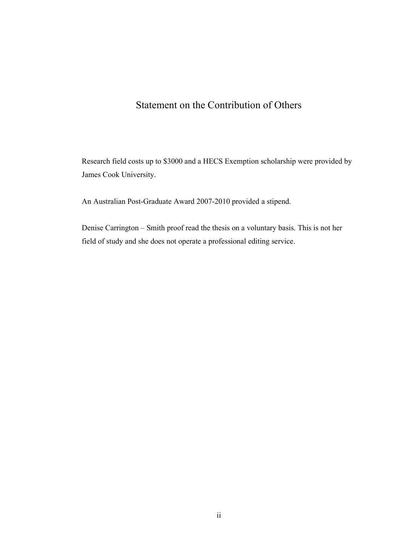# Statement on the Contribution of Others

Research field costs up to \$3000 and a HECS Exemption scholarship were provided by James Cook University.

An Australian Post-Graduate Award 2007-2010 provided a stipend.

Denise Carrington – Smith proof read the thesis on a voluntary basis. This is not her field of study and she does not operate a professional editing service.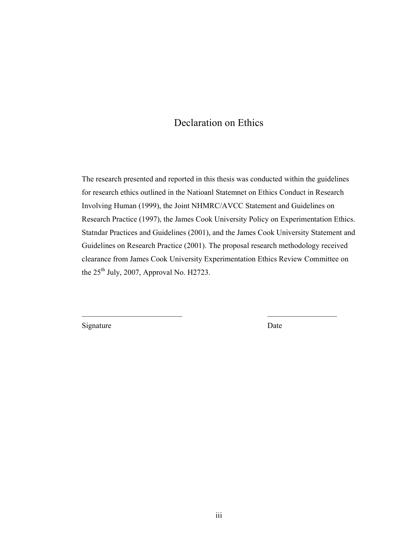# Declaration on Ethics

The research presented and reported in this thesis was conducted within the guidelines for research ethics outlined in the Natioanl Statemnet on Ethics Conduct in Research Involving Human (1999), the Joint NHMRC/AVCC Statement and Guidelines on Research Practice (1997), the James Cook University Policy on Experimentation Ethics. Statndar Practices and Guidelines (2001), and the James Cook University Statement and Guidelines on Research Practice (2001). The proposal research methodology received clearance from James Cook University Experimentation Ethics Review Committee on the  $25<sup>th</sup>$  July, 2007, Approval No. H2723.

Signature Date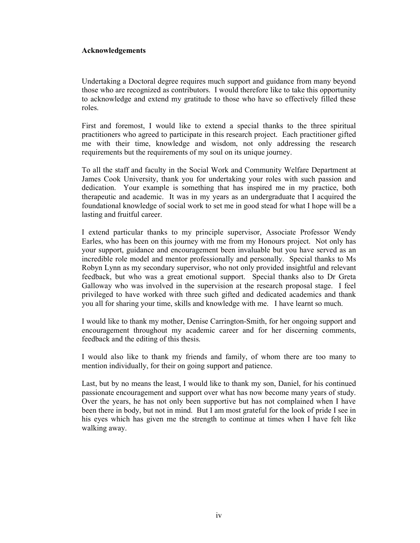### Acknowledgements

Undertaking a Doctoral degree requires much support and guidance from many beyond those who are recognized as contributors. I would therefore like to take this opportunity to acknowledge and extend my gratitude to those who have so effectively filled these roles.

First and foremost, I would like to extend a special thanks to the three spiritual practitioners who agreed to participate in this research project. Each practitioner gifted me with their time, knowledge and wisdom, not only addressing the research requirements but the requirements of my soul on its unique journey.

To all the staff and faculty in the Social Work and Community Welfare Department at James Cook University, thank you for undertaking your roles with such passion and dedication. Your example is something that has inspired me in my practice, both therapeutic and academic. It was in my years as an undergraduate that I acquired the foundational knowledge of social work to set me in good stead for what I hope will be a lasting and fruitful career.

I extend particular thanks to my principle supervisor, Associate Professor Wendy Earles, who has been on this journey with me from my Honours project. Not only has your support, guidance and encouragement been invaluable but you have served as an incredible role model and mentor professionally and personally. Special thanks to Ms Robyn Lynn as my secondary supervisor, who not only provided insightful and relevant feedback, but who was a great emotional support. Special thanks also to Dr Greta Galloway who was involved in the supervision at the research proposal stage. I feel privileged to have worked with three such gifted and dedicated academics and thank you all for sharing your time, skills and knowledge with me. I have learnt so much.

I would like to thank my mother, Denise Carrington-Smith, for her ongoing support and encouragement throughout my academic career and for her discerning comments, feedback and the editing of this thesis.

I would also like to thank my friends and family, of whom there are too many to mention individually, for their on going support and patience.

Last, but by no means the least, I would like to thank my son, Daniel, for his continued passionate encouragement and support over what has now become many years of study. Over the years, he has not only been supportive but has not complained when I have been there in body, but not in mind. But I am most grateful for the look of pride I see in his eyes which has given me the strength to continue at times when I have felt like walking away.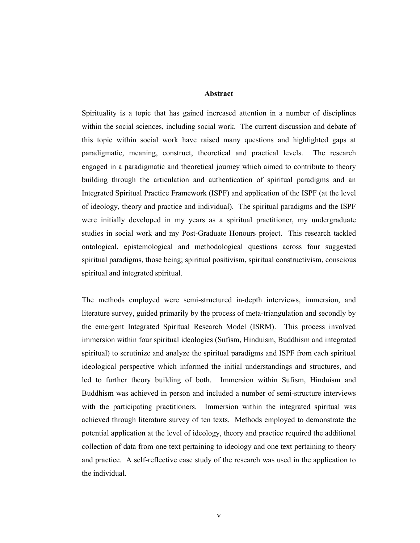### Abstract

Spirituality is a topic that has gained increased attention in a number of disciplines within the social sciences, including social work. The current discussion and debate of this topic within social work have raised many questions and highlighted gaps at paradigmatic, meaning, construct, theoretical and practical levels. The research engaged in a paradigmatic and theoretical journey which aimed to contribute to theory building through the articulation and authentication of spiritual paradigms and an Integrated Spiritual Practice Framework (ISPF) and application of the ISPF (at the level of ideology, theory and practice and individual). The spiritual paradigms and the ISPF were initially developed in my years as a spiritual practitioner, my undergraduate studies in social work and my Post-Graduate Honours project. This research tackled ontological, epistemological and methodological questions across four suggested spiritual paradigms, those being; spiritual positivism, spiritual constructivism, conscious spiritual and integrated spiritual.

The methods employed were semi-structured in-depth interviews, immersion, and literature survey, guided primarily by the process of meta-triangulation and secondly by the emergent Integrated Spiritual Research Model (ISRM). This process involved immersion within four spiritual ideologies (Sufism, Hinduism, Buddhism and integrated spiritual) to scrutinize and analyze the spiritual paradigms and ISPF from each spiritual ideological perspective which informed the initial understandings and structures, and led to further theory building of both. Immersion within Sufism, Hinduism and Buddhism was achieved in person and included a number of semi-structure interviews with the participating practitioners. Immersion within the integrated spiritual was achieved through literature survey of ten texts. Methods employed to demonstrate the potential application at the level of ideology, theory and practice required the additional collection of data from one text pertaining to ideology and one text pertaining to theory and practice. A self-reflective case study of the research was used in the application to the individual.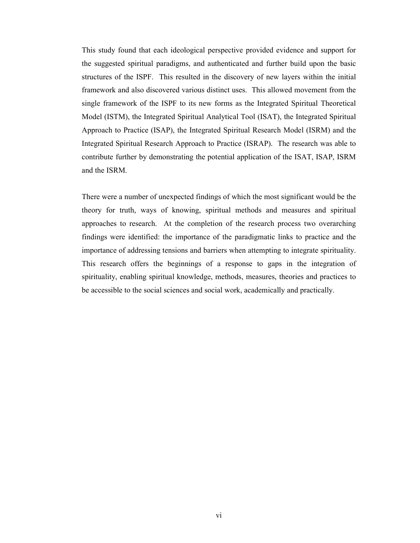This study found that each ideological perspective provided evidence and support for the suggested spiritual paradigms, and authenticated and further build upon the basic structures of the ISPF. This resulted in the discovery of new layers within the initial framework and also discovered various distinct uses. This allowed movement from the single framework of the ISPF to its new forms as the Integrated Spiritual Theoretical Model (ISTM), the Integrated Spiritual Analytical Tool (ISAT), the Integrated Spiritual Approach to Practice (ISAP), the Integrated Spiritual Research Model (ISRM) and the Integrated Spiritual Research Approach to Practice (ISRAP). The research was able to contribute further by demonstrating the potential application of the ISAT, ISAP, ISRM and the ISRM.

There were a number of unexpected findings of which the most significant would be the theory for truth, ways of knowing, spiritual methods and measures and spiritual approaches to research. At the completion of the research process two overarching findings were identified: the importance of the paradigmatic links to practice and the importance of addressing tensions and barriers when attempting to integrate spirituality. This research offers the beginnings of a response to gaps in the integration of spirituality, enabling spiritual knowledge, methods, measures, theories and practices to be accessible to the social sciences and social work, academically and practically.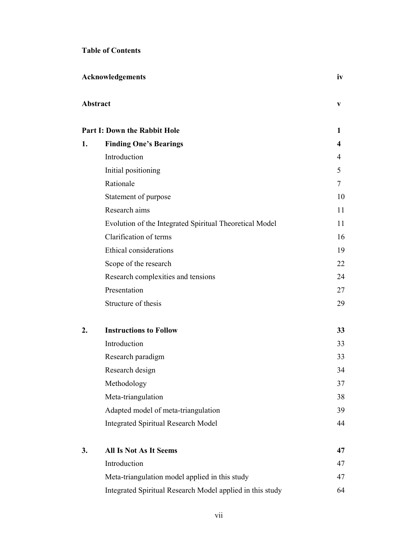### Table of Contents

|    | <b>Acknowledgements</b>                                   | iv |
|----|-----------------------------------------------------------|----|
|    | Abstract                                                  | V  |
|    | <b>Part I: Down the Rabbit Hole</b>                       | 1  |
| 1. | <b>Finding One's Bearings</b>                             | 4  |
|    | Introduction                                              | 4  |
|    | Initial positioning                                       | 5  |
|    | Rationale                                                 | 7  |
|    | Statement of purpose                                      | 10 |
|    | Research aims                                             | 11 |
|    | Evolution of the Integrated Spiritual Theoretical Model   | 11 |
|    | Clarification of terms                                    | 16 |
|    | Ethical considerations                                    | 19 |
|    | Scope of the research                                     | 22 |
|    | Research complexities and tensions                        | 24 |
|    | Presentation                                              | 27 |
|    | Structure of thesis                                       | 29 |
| 2. | <b>Instructions to Follow</b>                             | 33 |
|    | Introduction                                              | 33 |
|    | Research paradigm                                         | 33 |
|    | Research design                                           | 34 |
|    | Methodology                                               | 37 |
|    | Meta-triangulation                                        | 38 |
|    | Adapted model of meta-triangulation                       | 39 |
|    | <b>Integrated Spiritual Research Model</b>                | 44 |
| 3. | <b>All Is Not As It Seems</b>                             | 47 |
|    | Introduction                                              | 47 |
|    | Meta-triangulation model applied in this study            | 47 |
|    | Integrated Spiritual Research Model applied in this study | 64 |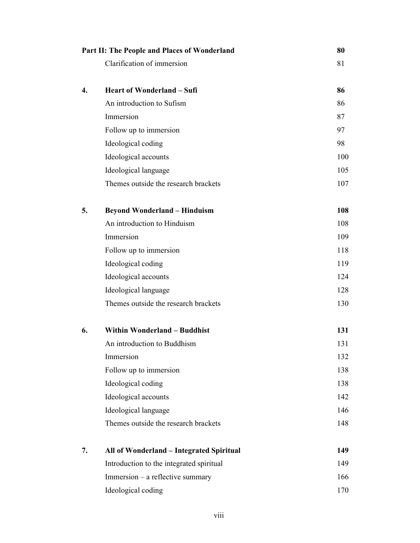|    | Part II: The People and Places of Wonderland |     |
|----|----------------------------------------------|-----|
|    | Clarification of immersion                   | 81  |
|    |                                              |     |
| 4. | <b>Heart of Wonderland - Sufi</b>            | 86  |
|    | An introduction to Sufism                    | 86  |
|    | Immersion                                    | 87  |
|    | Follow up to immersion                       | 97  |
|    | Ideological coding                           | 98  |
|    | Ideological accounts                         | 100 |
|    | Ideological language                         | 105 |
|    | Themes outside the research brackets         | 107 |
| 5. | <b>Beyond Wonderland - Hinduism</b>          | 108 |
|    | An introduction to Hinduism                  | 108 |
|    | Immersion                                    | 109 |
|    | Follow up to immersion                       | 118 |
|    | Ideological coding                           | 119 |
|    | Ideological accounts                         | 124 |
|    | Ideological language                         | 128 |
|    | Themes outside the research brackets         | 130 |
| 6. | <b>Within Wonderland - Buddhist</b>          | 131 |
|    | An introduction to Buddhism                  | 131 |
|    | Immersion                                    | 132 |
|    | Follow up to immersion                       | 138 |
|    | Ideological coding                           | 138 |
|    | Ideological accounts                         | 142 |
|    | Ideological language                         | 146 |
|    | Themes outside the research brackets         | 148 |
| 7. | All of Wonderland - Integrated Spiritual     | 149 |
|    | Introduction to the integrated spiritual     | 149 |
|    | Immersion – a reflective summary             | 166 |
|    | Ideological coding                           | 170 |
|    |                                              |     |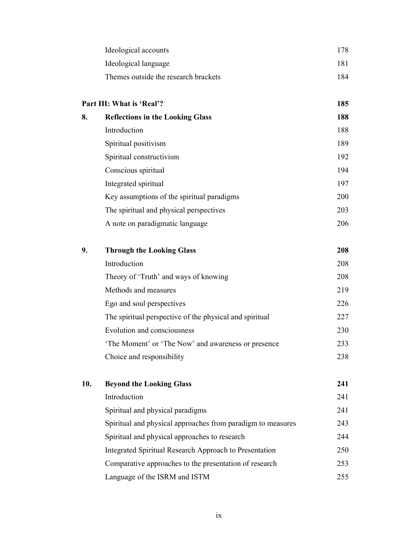| Ideological accounts                 | 178. |  |
|--------------------------------------|------|--|
| Ideological language                 | 181  |  |
| Themes outside the research brackets | 184  |  |

| Part III: What is 'Real'? |                                            | 185 |
|---------------------------|--------------------------------------------|-----|
| 8.                        | <b>Reflections in the Looking Glass</b>    | 188 |
|                           | Introduction                               | 188 |
|                           | Spiritual positivism                       | 189 |
|                           | Spiritual constructivism                   | 192 |
|                           | Conscious spiritual                        | 194 |
|                           | Integrated spiritual                       | 197 |
|                           | Key assumptions of the spiritual paradigms | 200 |
|                           | The spiritual and physical perspectives    | 203 |
|                           | A note on paradigmatic language            | 206 |

| 9. | <b>Through the Looking Glass</b>                        | 208 |
|----|---------------------------------------------------------|-----|
|    | Introduction                                            | 208 |
|    | Theory of 'Truth' and ways of knowing                   | 208 |
|    | Methods and measures                                    | 219 |
|    | Ego and soul perspectives                               | 226 |
|    | The spiritual perspective of the physical and spiritual | 227 |
|    | Evolution and consciousness                             | 230 |
|    | The Moment' or 'The Now' and awareness or presence      | 233 |
|    | Choice and responsibility                               | 238 |

| 10. | <b>Beyond the Looking Glass</b>                             | 241  |
|-----|-------------------------------------------------------------|------|
|     | Introduction                                                | 241  |
|     | Spiritual and physical paradigms                            | 241  |
|     | Spiritual and physical approaches from paradigm to measures | 243  |
|     | Spiritual and physical approaches to research               | 244  |
|     | Integrated Spiritual Research Approach to Presentation      | 250  |
|     | Comparative approaches to the presentation of research      | 253  |
|     | Language of the ISRM and ISTM                               | 255. |
|     |                                                             |      |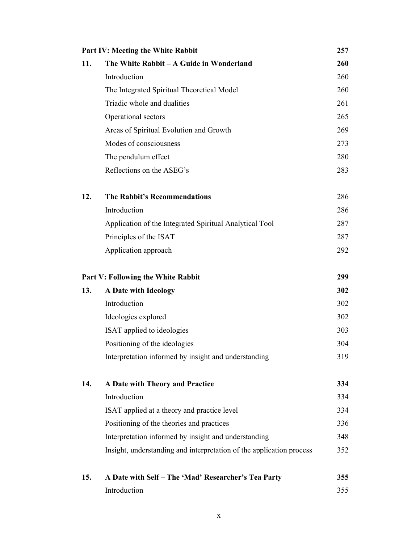|     | <b>Part IV: Meeting the White Rabbit</b>                             |     |
|-----|----------------------------------------------------------------------|-----|
| 11. | The White Rabbit - A Guide in Wonderland                             | 260 |
|     | Introduction                                                         | 260 |
|     | The Integrated Spiritual Theoretical Model                           | 260 |
|     | Triadic whole and dualities                                          | 261 |
|     | Operational sectors                                                  | 265 |
|     | Areas of Spiritual Evolution and Growth                              | 269 |
|     | Modes of consciousness                                               | 273 |
|     | The pendulum effect                                                  | 280 |
|     | Reflections on the ASEG's                                            | 283 |
| 12. | <b>The Rabbit's Recommendations</b>                                  | 286 |
|     | Introduction                                                         | 286 |
|     | Application of the Integrated Spiritual Analytical Tool              | 287 |
|     | Principles of the ISAT                                               | 287 |
|     | Application approach                                                 | 292 |
|     | <b>Part V: Following the White Rabbit</b>                            | 299 |
| 13. | A Date with Ideology                                                 | 302 |
|     | Introduction                                                         | 302 |
|     | Ideologies explored                                                  | 302 |
|     | ISAT applied to ideologies                                           | 303 |
|     | Positioning of the ideologies                                        | 304 |
|     | Interpretation informed by insight and understanding                 | 319 |
| 14. | A Date with Theory and Practice                                      | 334 |
|     | Introduction                                                         | 334 |
|     | ISAT applied at a theory and practice level                          | 334 |
|     | Positioning of the theories and practices                            | 336 |
|     | Interpretation informed by insight and understanding                 | 348 |
|     | Insight, understanding and interpretation of the application process | 352 |
| 15. | A Date with Self - The 'Mad' Researcher's Tea Party                  | 355 |
|     | Introduction                                                         | 355 |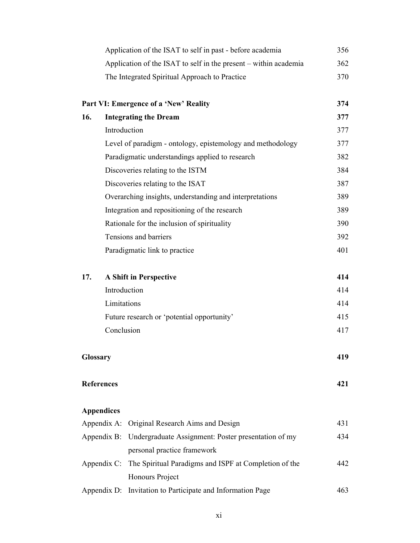|          | Application of the ISAT to self in past - before academia          | 356 |
|----------|--------------------------------------------------------------------|-----|
|          | Application of the ISAT to self in the present - within academia   | 362 |
|          | The Integrated Spiritual Approach to Practice                      | 370 |
|          | Part VI: Emergence of a 'New' Reality                              | 374 |
| 16.      | <b>Integrating the Dream</b>                                       | 377 |
|          | Introduction                                                       | 377 |
|          | Level of paradigm - ontology, epistemology and methodology         | 377 |
|          | Paradigmatic understandings applied to research                    | 382 |
|          | Discoveries relating to the ISTM                                   | 384 |
|          | Discoveries relating to the ISAT                                   | 387 |
|          | Overarching insights, understanding and interpretations            | 389 |
|          | Integration and repositioning of the research                      | 389 |
|          | Rationale for the inclusion of spirituality                        | 390 |
|          | Tensions and barriers                                              | 392 |
|          | Paradigmatic link to practice                                      | 401 |
| 17.      | A Shift in Perspective                                             | 414 |
|          | Introduction                                                       | 414 |
|          | Limitations                                                        | 414 |
|          | Future research or 'potential opportunity'                         | 415 |
|          | Conclusion                                                         | 417 |
| Glossary |                                                                    | 419 |
|          | <b>References</b>                                                  | 421 |
|          | <b>Appendices</b>                                                  |     |
|          | Original Research Aims and Design<br>Appendix A:                   | 431 |
|          | Undergraduate Assignment: Poster presentation of my<br>Appendix B: | 434 |
|          | personal practice framework                                        |     |
|          | Appendix C: The Spiritual Paradigms and ISPF at Completion of the  | 442 |
|          | Honours Project                                                    |     |
|          | Invitation to Participate and Information Page<br>Appendix D:      | 463 |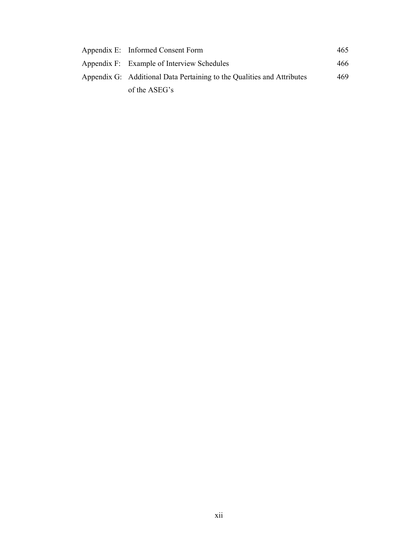| Appendix E: Informed Consent Form                                      | 465 |
|------------------------------------------------------------------------|-----|
| Appendix F: Example of Interview Schedules                             | 466 |
| Appendix G: Additional Data Pertaining to the Qualities and Attributes | 469 |
| of the ASEG's                                                          |     |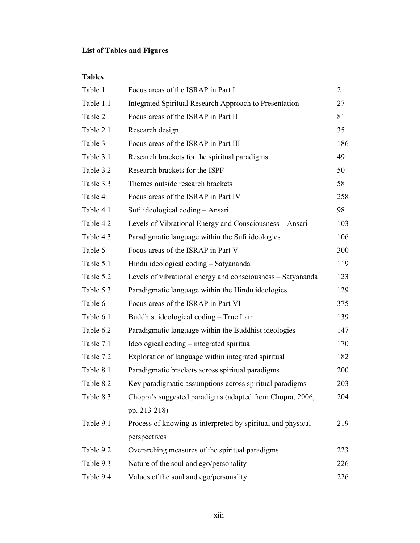# List of Tables and Figures

Tables

| Table 1   | Focus areas of the ISRAP in Part I                          | $\overline{2}$ |
|-----------|-------------------------------------------------------------|----------------|
| Table 1.1 | Integrated Spiritual Research Approach to Presentation      | 27             |
| Table 2   | Focus areas of the ISRAP in Part II                         | 81             |
| Table 2.1 | Research design                                             | 35             |
| Table 3   | Focus areas of the ISRAP in Part III                        | 186            |
| Table 3.1 | Research brackets for the spiritual paradigms               | 49             |
| Table 3.2 | Research brackets for the ISPF                              | 50             |
| Table 3.3 | Themes outside research brackets                            | 58             |
| Table 4   | Focus areas of the ISRAP in Part IV                         | 258            |
| Table 4.1 | Sufi ideological coding - Ansari                            | 98             |
| Table 4.2 | Levels of Vibrational Energy and Consciousness - Ansari     | 103            |
| Table 4.3 | Paradigmatic language within the Sufi ideologies            | 106            |
| Table 5   | Focus areas of the ISRAP in Part V                          | 300            |
| Table 5.1 | Hindu ideological coding - Satyananda                       | 119            |
| Table 5.2 | Levels of vibrational energy and consciousness - Satyananda | 123            |
| Table 5.3 | Paradigmatic language within the Hindu ideologies           | 129            |
| Table 6   | Focus areas of the ISRAP in Part VI                         | 375            |
| Table 6.1 | Buddhist ideological coding - Truc Lam                      | 139            |
| Table 6.2 | Paradigmatic language within the Buddhist ideologies        | 147            |
| Table 7.1 | Ideological coding – integrated spiritual                   | 170            |
| Table 7.2 | Exploration of language within integrated spiritual         | 182            |
| Table 8.1 | Paradigmatic brackets across spiritual paradigms            | 200            |
| Table 8.2 | Key paradigmatic assumptions across spiritual paradigms     | 203            |
| Table 8.3 | Chopra's suggested paradigms (adapted from Chopra, 2006,    | 204            |
|           | pp. 213-218)                                                |                |
| Table 9.1 | Process of knowing as interpreted by spiritual and physical | 219            |
|           | perspectives                                                |                |
| Table 9.2 | Overarching measures of the spiritual paradigms             | 223            |
| Table 9.3 | Nature of the soul and ego/personality                      | 226            |
| Table 9.4 | Values of the soul and ego/personality                      | 226            |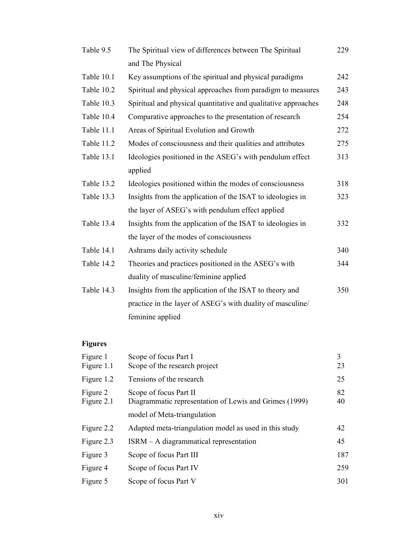| Table 9.5  | The Spiritual view of differences between The Spiritual        | 229 |
|------------|----------------------------------------------------------------|-----|
|            | and The Physical                                               |     |
| Table 10.1 | Key assumptions of the spiritual and physical paradigms        | 242 |
| Table 10.2 | Spiritual and physical approaches from paradigm to measures    | 243 |
| Table 10.3 | Spiritual and physical quantitative and qualitative approaches | 248 |
| Table 10.4 | Comparative approaches to the presentation of research         | 254 |
| Table 11.1 | Areas of Spiritual Evolution and Growth                        | 272 |
| Table 11.2 | Modes of consciousness and their qualities and attributes      | 275 |
| Table 13.1 | Ideologies positioned in the ASEG's with pendulum effect       | 313 |
|            | applied                                                        |     |
| Table 13.2 | Ideologies positioned within the modes of consciousness        | 318 |
| Table 13.3 | Insights from the application of the ISAT to ideologies in     | 323 |
|            | the layer of ASEG's with pendulum effect applied               |     |
| Table 13.4 | Insights from the application of the ISAT to ideologies in     | 332 |
|            | the layer of the modes of consciousness                        |     |
| Table 14.1 | Ashrams daily activity schedule                                | 340 |
| Table 14.2 | Theories and practices positioned in the ASEG's with           | 344 |
|            | duality of masculine/feminine applied                          |     |
| Table 14.3 | Insights from the application of the ISAT to theory and        | 350 |
|            | practice in the layer of ASEG's with duality of masculine/     |     |
|            | feminine applied                                               |     |

# Figures

| Figure 1<br>Figure 1.1 | Scope of focus Part I<br>Scope of the research project                           | 3<br>23  |
|------------------------|----------------------------------------------------------------------------------|----------|
| Figure 1.2             | Tensions of the research                                                         | 25       |
| Figure 2<br>Figure 2.1 | Scope of focus Part II<br>Diagrammatic representation of Lewis and Grimes (1999) | 82<br>40 |
|                        | model of Meta-triangulation                                                      |          |
| Figure 2.2             | Adapted meta-triangulation model as used in this study                           | 42       |
| Figure 2.3             | ISRM - A diagrammatical representation                                           | 45       |
| Figure 3               | Scope of focus Part III                                                          | 187      |
| Figure 4               | Scope of focus Part IV                                                           | 259      |
| Figure 5               | Scope of focus Part V                                                            | 301      |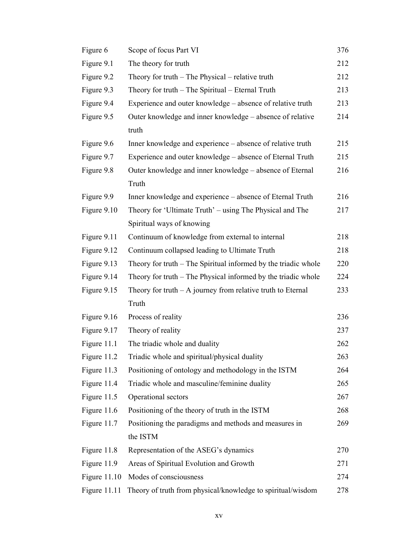| Figure 6     | Scope of focus Part VI                                         | 376 |
|--------------|----------------------------------------------------------------|-----|
| Figure 9.1   | The theory for truth                                           | 212 |
| Figure 9.2   | Theory for truth $-$ The Physical $-$ relative truth           | 212 |
| Figure 9.3   | Theory for truth - The Spiritual - Eternal Truth               | 213 |
| Figure 9.4   | Experience and outer knowledge – absence of relative truth     | 213 |
| Figure 9.5   | Outer knowledge and inner knowledge – absence of relative      | 214 |
|              | truth                                                          |     |
| Figure 9.6   | Inner knowledge and experience – absence of relative truth     | 215 |
| Figure 9.7   | Experience and outer knowledge – absence of Eternal Truth      | 215 |
| Figure 9.8   | Outer knowledge and inner knowledge – absence of Eternal       | 216 |
|              | Truth                                                          |     |
| Figure 9.9   | Inner knowledge and experience – absence of Eternal Truth      | 216 |
| Figure 9.10  | Theory for 'Ultimate Truth' – using The Physical and The       | 217 |
|              | Spiritual ways of knowing                                      |     |
| Figure 9.11  | Continuum of knowledge from external to internal               | 218 |
| Figure 9.12  | Continuum collapsed leading to Ultimate Truth                  | 218 |
| Figure 9.13  | Theory for truth – The Spiritual informed by the triadic whole | 220 |
| Figure 9.14  | Theory for truth – The Physical informed by the triadic whole  | 224 |
| Figure 9.15  | Theory for truth $- A$ journey from relative truth to Eternal  | 233 |
|              | Truth                                                          |     |
| Figure 9.16  | Process of reality                                             | 236 |
| Figure 9.17  | Theory of reality                                              | 237 |
| Figure 11.1  | The triadic whole and duality                                  | 262 |
| Figure 11.2  | Triadic whole and spiritual/physical duality                   | 263 |
| Figure 11.3  | Positioning of ontology and methodology in the ISTM            | 264 |
| Figure 11.4  | Triadic whole and masculine/feminine duality                   | 265 |
| Figure 11.5  | Operational sectors                                            | 267 |
| Figure 11.6  | Positioning of the theory of truth in the ISTM                 | 268 |
| Figure 11.7  | Positioning the paradigms and methods and measures in          | 269 |
|              | the ISTM                                                       |     |
| Figure 11.8  | Representation of the ASEG's dynamics                          | 270 |
| Figure 11.9  | Areas of Spiritual Evolution and Growth                        | 271 |
| Figure 11.10 | Modes of consciousness                                         | 274 |
| Figure 11.11 | Theory of truth from physical/knowledge to spiritual/wisdom    | 278 |